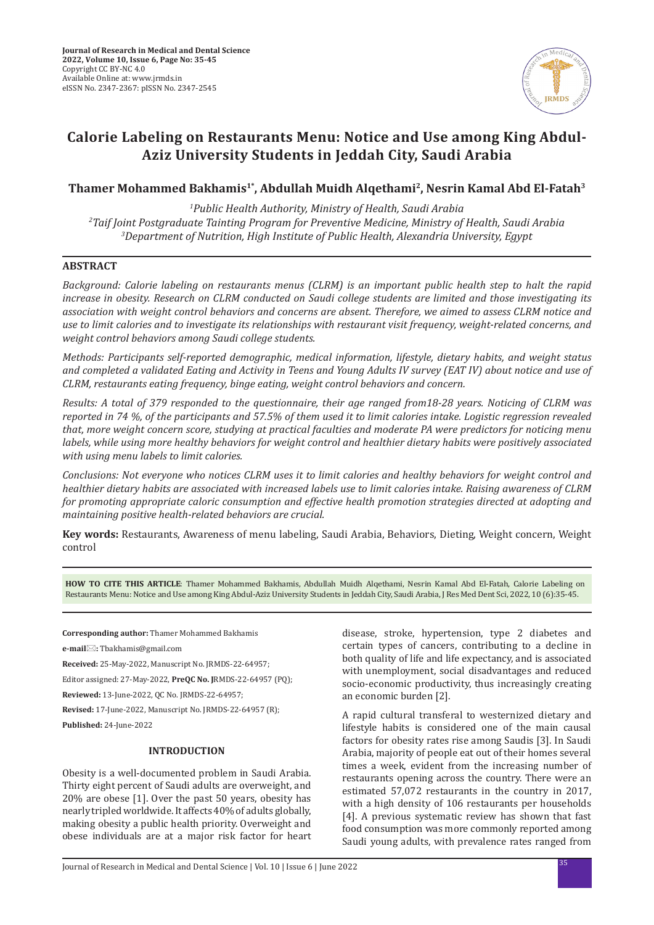

# **Calorie Labeling on Restaurants Menu: Notice and Use among King Abdul-Aziz University Students in Jeddah City, Saudi Arabia**

# Thamer Mohammed Bakhamis<sup>1\*</sup>, Abdullah Muidh Algethami<sup>2</sup>, Nesrin Kamal Abd El-Fatah<sup>3</sup>

*1 Public Health Authority, Ministry of Health, Saudi Arabia 2 Taif Joint Postgraduate Tainting Program for Preventive Medicine, Ministry of Health, Saudi Arabia 3 Department of Nutrition, High Institute of Public Health, Alexandria University, Egypt*

# **ABSTRACT**

*Background: Calorie labeling on restaurants menus (CLRM) is an important public health step to halt the rapid increase in obesity. Research on CLRM conducted on Saudi college students are limited and those investigating its association with weight control behaviors and concerns are absent. Therefore, we aimed to assess CLRM notice and use to limit calories and to investigate its relationships with restaurant visit frequency, weight-related concerns, and weight control behaviors among Saudi college students.* 

*Methods: Participants self-reported demographic, medical information, lifestyle, dietary habits, and weight status and completed a validated Eating and Activity in Teens and Young Adults IV survey (EAT IV) about notice and use of CLRM, restaurants eating frequency, binge eating, weight control behaviors and concern.* 

*Results: A total of 379 responded to the questionnaire, their age ranged from18-28 years. Noticing of CLRM was reported in 74 %, of the participants and 57.5% of them used it to limit calories intake. Logistic regression revealed that, more weight concern score, studying at practical faculties and moderate PA were predictors for noticing menu labels, while using more healthy behaviors for weight control and healthier dietary habits were positively associated with using menu labels to limit calories.* 

*Conclusions: Not everyone who notices CLRM uses it to limit calories and healthy behaviors for weight control and healthier dietary habits are associated with increased labels use to limit calories intake. Raising awareness of CLRM for promoting appropriate caloric consumption and effective health promotion strategies directed at adopting and maintaining positive health-related behaviors are crucial.*

**Key words:** Restaurants, Awareness of menu labeling, Saudi Arabia, Behaviors, Dieting, Weight concern, Weight control

**HOW TO CITE THIS ARTICLE**: Thamer Mohammed Bakhamis, Abdullah Muidh Alqethami, Nesrin Kamal Abd El-Fatah, Calorie Labeling on Restaurants Menu: Notice and Use among King Abdul-Aziz University Students in Jeddah City, Saudi Arabia, J Res Med Dent Sci, 2022, 10 (6):35-45.

**Corresponding author:** Thamer Mohammed Bakhamis

**e-mail:** Tbakhamis@gmail.com

**Received:** 25-May-2022, Manuscript No. JRMDS-22-64957;

Editor assigned: 27-May-2022, **PreQC No. J**RMDS-22-64957 (PQ);

**Reviewed:** 13-June-2022, QC No. JRMDS-22-64957;

**Revised:** 17-June-2022, Manuscript No. JRMDS-22-64957 (R); **Published:** 24-June-2022

# **INTRODUCTION**

Obesity is a well-documented problem in Saudi Arabia. Thirty eight percent of Saudi adults are overweight, and 20% are obese [1]. Over the past 50 years, obesity has nearly tripled worldwide. It affects 40% of adults globally, making obesity a public health priority. Overweight and obese individuals are at a major risk factor for heart disease, stroke, hypertension, type 2 diabetes and certain types of cancers, contributing to a decline in both quality of life and life expectancy, and is associated with unemployment, social disadvantages and reduced socio-economic productivity, thus increasingly creating an economic burden [2].

A rapid cultural transferal to westernized dietary and lifestyle habits is considered one of the main causal factors for obesity rates rise among Saudis [3]. In Saudi Arabia, majority of people eat out of their homes several times a week, evident from the increasing number of restaurants opening across the country. There were an estimated 57,072 restaurants in the country in 2017, with a high density of 106 restaurants per households [4]. A previous systematic review has shown that fast food consumption was more commonly reported among Saudi young adults, with prevalence rates ranged from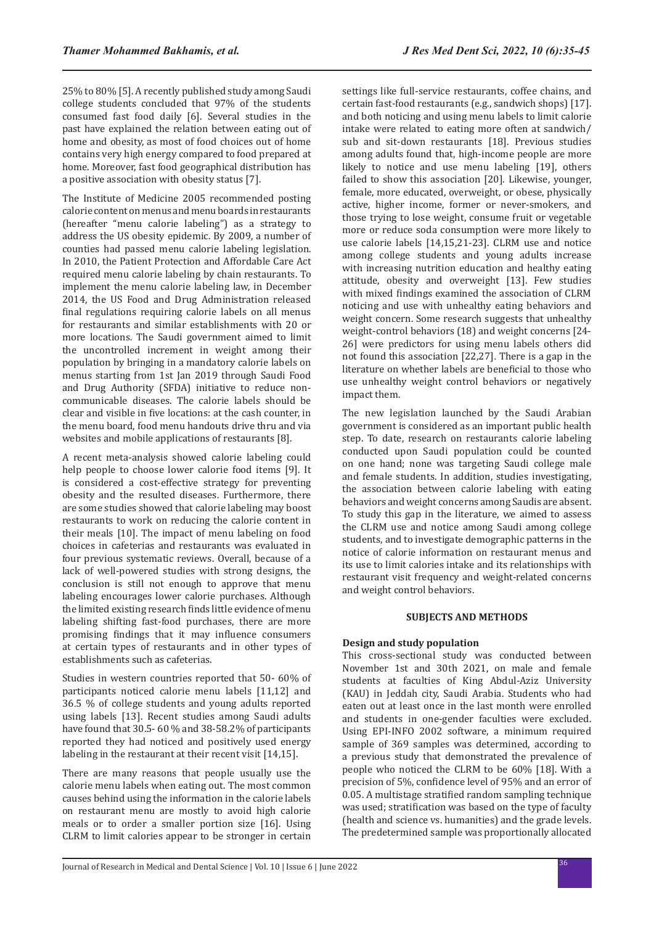25% to 80% [5]. A recently published study among Saudi college students concluded that 97% of the students consumed fast food daily [6]. Several studies in the past have explained the relation between eating out of home and obesity, as most of food choices out of home contains very high energy compared to food prepared at home. Moreover, fast food geographical distribution has a positive association with obesity status [7].

The Institute of Medicine 2005 recommended posting calorie content on menus and menu boards in restaurants (hereafter "menu calorie labeling") as a strategy to address the US obesity epidemic. By 2009, a number of counties had passed menu calorie labeling legislation. In 2010, the Patient Protection and Affordable Care Act required menu calorie labeling by chain restaurants. To implement the menu calorie labeling law, in December 2014, the US Food and Drug Administration released final regulations requiring calorie labels on all menus for restaurants and similar establishments with 20 or more locations. The Saudi government aimed to limit the uncontrolled increment in weight among their population by bringing in a mandatory calorie labels on menus starting from 1st Jan 2019 through Saudi Food and Drug Authority (SFDA) initiative to reduce noncommunicable diseases. The calorie labels should be clear and visible in five locations: at the cash counter, in the menu board, food menu handouts drive thru and via websites and mobile applications of restaurants [8].

A recent meta-analysis showed calorie labeling could help people to choose lower calorie food items [9]. It is considered a cost-effective strategy for preventing obesity and the resulted diseases. Furthermore, there are some studies showed that calorie labeling may boost restaurants to work on reducing the calorie content in their meals [10]. The impact of menu labeling on food choices in cafeterias and restaurants was evaluated in four previous systematic reviews. Overall, because of a lack of well-powered studies with strong designs, the conclusion is still not enough to approve that menu labeling encourages lower calorie purchases. Although the limited existing research finds little evidence of menu labeling shifting fast-food purchases, there are more promising findings that it may influence consumers at certain types of restaurants and in other types of establishments such as cafeterias.

Studies in western countries reported that 50- 60% of participants noticed calorie menu labels [11,12] and 36.5 % of college students and young adults reported using labels [13]. Recent studies among Saudi adults have found that 30.5- 60 % and 38-58.2% of participants reported they had noticed and positively used energy labeling in the restaurant at their recent visit [14,15].

There are many reasons that people usually use the calorie menu labels when eating out. The most common causes behind using the information in the calorie labels on restaurant menu are mostly to avoid high calorie meals or to order a smaller portion size [16]. Using CLRM to limit calories appear to be stronger in certain settings like full-service restaurants, coffee chains, and certain fast-food restaurants (e.g., sandwich shops) [17]. and both noticing and using menu labels to limit calorie intake were related to eating more often at sandwich/ sub and sit-down restaurants [18]. Previous studies among adults found that, high-income people are more likely to notice and use menu labeling [19], others failed to show this association [20]. Likewise, younger, female, more educated, overweight, or obese, physically active, higher income, former or never-smokers, and those trying to lose weight, consume fruit or vegetable more or reduce soda consumption were more likely to use calorie labels [14,15,21-23]. CLRM use and notice among college students and young adults increase with increasing nutrition education and healthy eating attitude, obesity and overweight [13]. Few studies with mixed findings examined the association of CLRM noticing and use with unhealthy eating behaviors and weight concern. Some research suggests that unhealthy weight-control behaviors (18) and weight concerns [24- 26] were predictors for using menu labels others did not found this association [22,27]. There is a gap in the literature on whether labels are beneficial to those who use unhealthy weight control behaviors or negatively impact them.

The new legislation launched by the Saudi Arabian government is considered as an important public health step. To date, research on restaurants calorie labeling conducted upon Saudi population could be counted on one hand; none was targeting Saudi college male and female students. In addition, studies investigating, the association between calorie labeling with eating behaviors and weight concerns among Saudis are absent. To study this gap in the literature, we aimed to assess the CLRM use and notice among Saudi among college students, and to investigate demographic patterns in the notice of calorie information on restaurant menus and its use to limit calories intake and its relationships with restaurant visit frequency and weight-related concerns and weight control behaviors.

#### **SUBJECTS AND METHODS**

# **Design and study population**

This cross-sectional study was conducted between November 1st and 30th 2021, on male and female students at faculties of King Abdul-Aziz University (KAU) in Jeddah city, Saudi Arabia. Students who had eaten out at least once in the last month were enrolled and students in one-gender faculties were excluded. Using EPI-INFO 2002 software, a minimum required sample of 369 samples was determined, according to a previous study that demonstrated the prevalence of people who noticed the CLRM to be 60% [18]. With a precision of 5%, confidence level of 95% and an error of 0.05. A multistage stratified random sampling technique was used; stratification was based on the type of faculty (health and science vs. humanities) and the grade levels. The predetermined sample was proportionally allocated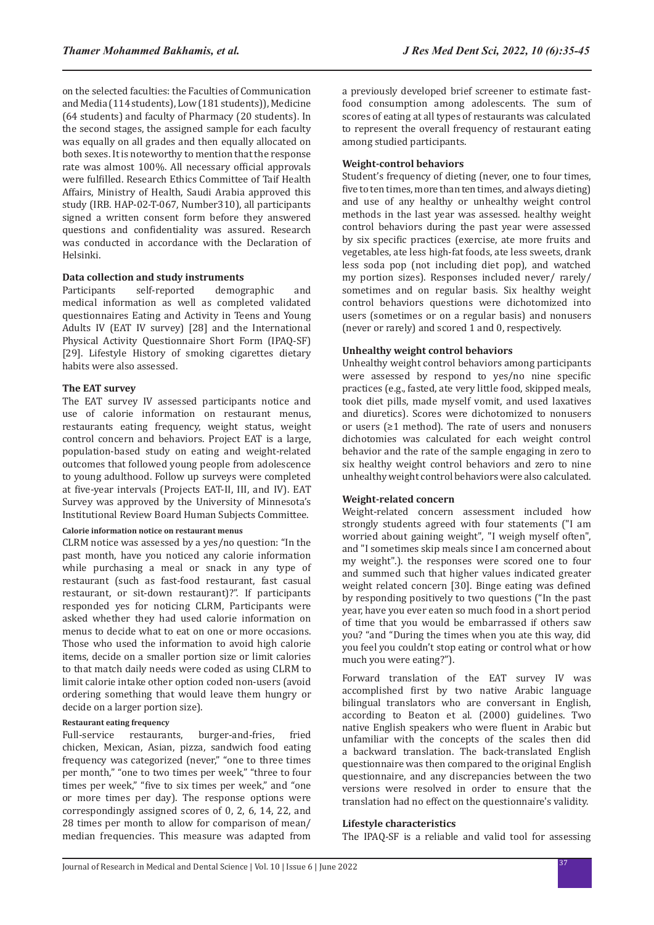on the selected faculties: the Faculties of Communication and Media (114 students), Low (181 students)), Medicine (64 students) and faculty of Pharmacy (20 students). In the second stages, the assigned sample for each faculty was equally on all grades and then equally allocated on both sexes. It is noteworthy to mention that the response rate was almost 100%. All necessary official approvals were fulfilled. Research Ethics Committee of Taif Health Affairs, Ministry of Health, Saudi Arabia approved this study (IRB. HAP-02-T-067, Number310), all participants signed a written consent form before they answered questions and confidentiality was assured. Research was conducted in accordance with the Declaration of Helsinki.

#### **Data collection and study instruments**

Participants self-reported demographic and medical information as well as completed validated questionnaires Eating and Activity in Teens and Young Adults IV (EAT IV survey) [28] and the International Physical Activity Questionnaire Short Form (IPAQ-SF) [29]. Lifestyle History of smoking cigarettes dietary habits were also assessed.

#### **The EAT survey**

The EAT survey IV assessed participants notice and use of calorie information on restaurant menus, restaurants eating frequency, weight status, weight control concern and behaviors. Project EAT is a large, population-based study on eating and weight-related outcomes that followed young people from adolescence to young adulthood. Follow up surveys were completed at five-year intervals (Projects EAT-II, III, and IV). EAT Survey was approved by the University of Minnesota's Institutional Review Board Human Subjects Committee.

#### **Calorie information notice on restaurant menus**

CLRM notice was assessed by a yes/no question: "In the past month, have you noticed any calorie information while purchasing a meal or snack in any type of restaurant (such as fast-food restaurant, fast casual restaurant, or sit-down restaurant)?". If participants responded yes for noticing CLRM, Participants were asked whether they had used calorie information on menus to decide what to eat on one or more occasions. Those who used the information to avoid high calorie items, decide on a smaller portion size or limit calories to that match daily needs were coded as using CLRM to limit calorie intake other option coded non-users (avoid ordering something that would leave them hungry or decide on a larger portion size).

#### **Restaurant eating frequency**

Full-service restaurants, burger-and-fries, fried chicken, Mexican, Asian, pizza, sandwich food eating frequency was categorized (never," "one to three times per month," "one to two times per week," "three to four times per week," "five to six times per week," and "one or more times per day). The response options were correspondingly assigned scores of 0, 2, 6, 14, 22, and 28 times per month to allow for comparison of mean/ median frequencies. This measure was adapted from a previously developed brief screener to estimate fastfood consumption among adolescents. The sum of scores of eating at all types of restaurants was calculated to represent the overall frequency of restaurant eating among studied participants.

#### **Weight-control behaviors**

Student's frequency of dieting (never, one to four times, five to ten times, more than ten times, and always dieting) and use of any healthy or unhealthy weight control methods in the last year was assessed. healthy weight control behaviors during the past year were assessed by six specific practices (exercise, ate more fruits and vegetables, ate less high-fat foods, ate less sweets, drank less soda pop (not including diet pop), and watched my portion sizes). Responses included never/ rarely/ sometimes and on regular basis. Six healthy weight control behaviors questions were dichotomized into users (sometimes or on a regular basis) and nonusers (never or rarely) and scored 1 and 0, respectively.

#### **Unhealthy weight control behaviors**

Unhealthy weight control behaviors among participants were assessed by respond to yes/no nine specific practices (e.g., fasted, ate very little food, skipped meals, took diet pills, made myself vomit, and used laxatives and diuretics). Scores were dichotomized to nonusers or users (≥1 method). The rate of users and nonusers dichotomies was calculated for each weight control behavior and the rate of the sample engaging in zero to six healthy weight control behaviors and zero to nine unhealthy weight control behaviors were also calculated.

# **Weight-related concern**

Weight-related concern assessment included how strongly students agreed with four statements ("I am worried about gaining weight", "I weigh myself often", and "I sometimes skip meals since I am concerned about my weight".). the responses were scored one to four and summed such that higher values indicated greater weight related concern [30]. Binge eating was defined by responding positively to two questions ("In the past year, have you ever eaten so much food in a short period of time that you would be embarrassed if others saw you? "and "During the times when you ate this way, did you feel you couldn't stop eating or control what or how much you were eating?").

Forward translation of the EAT survey IV was accomplished first by two native Arabic language bilingual translators who are conversant in English, according to Beaton et al. (2000) guidelines. Two native English speakers who were fluent in Arabic but unfamiliar with the concepts of the scales then did a backward translation. The back-translated English questionnaire was then compared to the original English questionnaire, and any discrepancies between the two versions were resolved in order to ensure that the translation had no effect on the questionnaire's validity.

# **Lifestyle characteristics**

The IPAQ-SF is a reliable and valid tool for assessing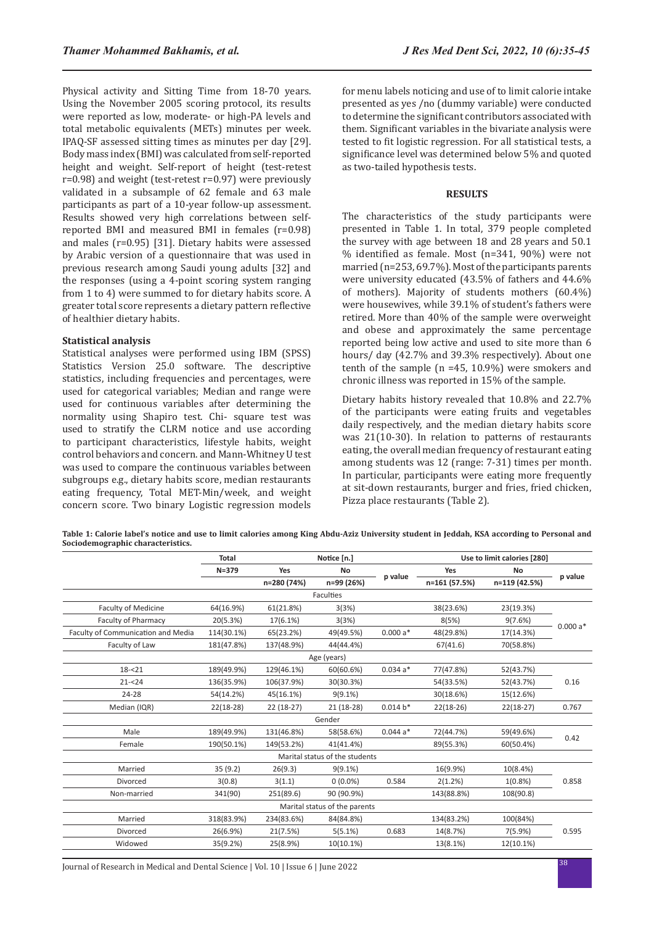Physical activity and Sitting Time from 18-70 years. Using the November 2005 scoring protocol, its results were reported as low, moderate- or high-PA levels and total metabolic equivalents (METs) minutes per week. IPAQ-SF assessed sitting times as minutes per day [29]. Body mass index (BMI) was calculated from self-reported height and weight. Self-report of height (test-retest r=0.98) and weight (test-retest r=0.97) were previously validated in a subsample of 62 female and 63 male participants as part of a 10-year follow-up assessment. Results showed very high correlations between selfreported BMI and measured BMI in females (r=0.98) and males (r=0.95) [31]. Dietary habits were assessed by Arabic version of a questionnaire that was used in previous research among Saudi young adults [32] and the responses (using a 4-point scoring system ranging from 1 to 4) were summed to for dietary habits score. A greater total score represents a dietary pattern reflective of healthier dietary habits.

#### **Statistical analysis**

Statistical analyses were performed using IBM (SPSS) Statistics Version 25.0 software. The descriptive statistics, including frequencies and percentages, were used for categorical variables; Median and range were used for continuous variables after determining the normality using Shapiro test. Chi- square test was used to stratify the CLRM notice and use according to participant characteristics, lifestyle habits, weight control behaviors and concern. and Mann-Whitney U test was used to compare the continuous variables between subgroups e.g., dietary habits score, median restaurants eating frequency, Total MET-Min/week, and weight concern score. Two binary Logistic regression models for menu labels noticing and use of to limit calorie intake presented as yes /no (dummy variable) were conducted to determine the significant contributors associated with them. Significant variables in the bivariate analysis were tested to fit logistic regression. For all statistical tests, a significance level was determined below 5% and quoted as two-tailed hypothesis tests.

#### **RESULTS**

The characteristics of the study participants were presented in Table 1. In total, 379 people completed the survey with age between 18 and 28 years and 50.1 % identified as female. Most (n=341, 90%) were not married (n=253, 69.7%). Most of the participants parents were university educated (43.5% of fathers and 44.6% of mothers). Majority of students mothers (60.4%) were housewives, while 39.1% of student's fathers were retired. More than 40% of the sample were overweight and obese and approximately the same percentage reported being low active and used to site more than 6 hours/ day (42.7% and 39.3% respectively). About one tenth of the sample (n =45, 10.9%) were smokers and chronic illness was reported in 15% of the sample.

Dietary habits history revealed that 10.8% and 22.7% of the participants were eating fruits and vegetables daily respectively, and the median dietary habits score was 21(10-30). In relation to patterns of restaurants eating, the overall median frequency of restaurant eating among students was 12 (range: 7-31) times per month. In particular, participants were eating more frequently at sit-down restaurants, burger and fries, fried chicken, Pizza place restaurants (Table 2).

**Table 1: Calorie label's notice and use to limit calories among King Abdu-Aziz University student in Jeddah, KSA according to Personal and Sociodemographic characteristics.**

|                                    | Total       | Notice [n.] |                                |            | Use to limit calories [280] |               |           |
|------------------------------------|-------------|-------------|--------------------------------|------------|-----------------------------|---------------|-----------|
|                                    | $N = 379$   | Yes         | No                             |            | Yes                         | No            |           |
|                                    |             | n=280 (74%) | n=99 (26%)                     | p value    | n=161 (57.5%)               | n=119 (42.5%) | p value   |
|                                    |             |             | Faculties                      |            |                             |               |           |
| Faculty of Medicine                | 64(16.9%)   | 61(21.8%)   | 3(3%)                          |            | 38(23.6%)                   | 23(19.3%)     |           |
| <b>Faculty of Pharmacy</b>         | 20(5.3%)    | 17(6.1%)    | 3(3%)                          |            | 8(5%)                       | 9(7.6%)       | $0.000a*$ |
| Faculty of Communication and Media | 114(30.1%)  | 65(23.2%)   | 49(49.5%)                      | $0.000a*$  | 48(29.8%)                   | 17(14.3%)     |           |
| Faculty of Law                     | 181(47.8%)  | 137(48.9%)  | 44(44.4%)                      |            | 67(41.6)                    | 70(58.8%)     |           |
|                                    |             |             | Age (years)                    |            |                             |               |           |
| $18 - 21$                          | 189(49.9%)  | 129(46.1%)  | 60(60.6%)                      | $0.034a*$  | 77(47.8%)                   | 52(43.7%)     |           |
| $21 - 24$                          | 136(35.9%)  | 106(37.9%)  | 30(30.3%)                      |            | 54(33.5%)                   | 52(43.7%)     | 0.16      |
| 24-28                              | 54(14.2%)   | 45(16.1%)   | $9(9.1\%)$                     |            | 30(18.6%)                   | 15(12.6%)     |           |
| Median (IQR)                       | $22(18-28)$ | 22 (18-27)  | $21(18-28)$                    | $0.014 b*$ | $22(18-26)$                 | $22(18-27)$   | 0.767     |
|                                    |             |             | Gender                         |            |                             |               |           |
| Male                               | 189(49.9%)  | 131(46.8%)  | 58(58.6%)                      | $0.044a*$  | 72(44.7%)                   | 59(49.6%)     | 0.42      |
| Female                             | 190(50.1%)  | 149(53.2%)  | 41(41.4%)                      |            | 89(55.3%)                   | 60(50.4%)     |           |
|                                    |             |             | Marital status of the students |            |                             |               |           |
| Married                            | 35(9.2)     | 26(9.3)     | $9(9.1\%)$                     |            | 16(9.9%)                    | 10(8.4%)      |           |
| Divorced                           | 3(0.8)      | 3(1.1)      | $0(0.0\%)$                     | 0.584      | 2(1.2%)                     | $1(0.8\%)$    | 0.858     |
| Non-married                        | 341(90)     | 251(89.6)   | 90 (90.9%)                     |            | 143(88.8%)                  | 108(90.8)     |           |
| Marital status of the parents      |             |             |                                |            |                             |               |           |
| Married                            | 318(83.9%)  | 234(83.6%)  | 84(84.8%)                      |            | 134(83.2%)                  | 100(84%)      |           |
| Divorced                           | 26(6.9%)    | 21(7.5%)    | 5(5.1%)                        | 0.683      | 14(8.7%)                    | 7(5.9%)       | 0.595     |
| Widowed                            | 35(9.2%)    | 25(8.9%)    | 10(10.1%)                      |            | 13(8.1%)                    | 12(10.1%)     |           |

<sup>38</sup> Journal of Research in Medical and Dental Science | Vol. 10 | Issue 6 | June 2022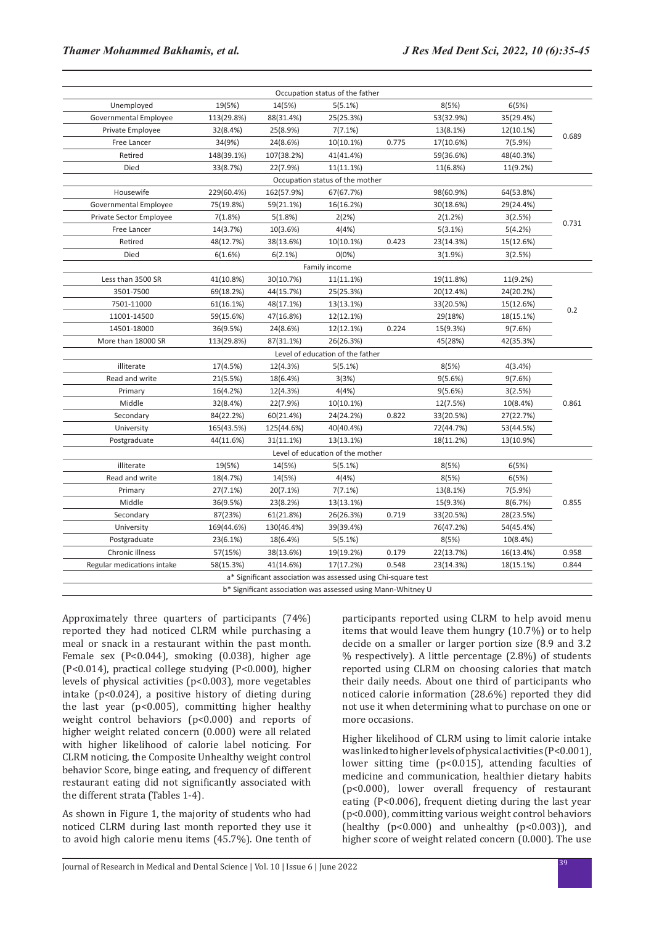|                            | Occupation status of the father                               |                                                              |                                  |       |           |           |       |  |  |
|----------------------------|---------------------------------------------------------------|--------------------------------------------------------------|----------------------------------|-------|-----------|-----------|-------|--|--|
| Unemployed                 | 19(5%)                                                        | 14(5%)                                                       | 5(5.1%)                          |       | 8(5%)     | 6(5%)     |       |  |  |
| Governmental Employee      | 113(29.8%)                                                    | 88(31.4%)                                                    | 25(25.3%)                        |       | 53(32.9%) | 35(29.4%) |       |  |  |
| Private Employee           | 32(8.4%)                                                      | 25(8.9%)                                                     | 7(7.1%)                          |       | 13(8.1%)  | 12(10.1%) |       |  |  |
| Free Lancer                | 34(9%)                                                        | 24(8.6%)                                                     | 10(10.1%)                        | 0.775 | 17(10.6%) | 7(5.9%)   | 0.689 |  |  |
| Retired                    | 148(39.1%)                                                    | 107(38.2%)                                                   | 41(41.4%)                        |       | 59(36.6%) | 48(40.3%) |       |  |  |
| Died                       | 33(8.7%)                                                      | 22(7.9%)                                                     | 11(11.1%)                        |       | 11(6.8%)  | 11(9.2%)  |       |  |  |
|                            |                                                               |                                                              | Occupation status of the mother  |       |           |           |       |  |  |
| Housewife                  | 229(60.4%)                                                    | 162(57.9%)                                                   | 67(67.7%)                        |       | 98(60.9%) | 64(53.8%) |       |  |  |
| Governmental Employee      | 75(19.8%)                                                     | 59(21.1%)                                                    | 16(16.2%)                        |       | 30(18.6%) | 29(24.4%) |       |  |  |
| Private Sector Employee    | 7(1.8%)                                                       | 5(1.8%)                                                      | 2(2%)                            |       | 2(1.2%)   | 3(2.5%)   |       |  |  |
| Free Lancer                | 14(3.7%)                                                      | 10(3.6%)                                                     | 4(4%)                            |       | 5(3.1%)   | 5(4.2%)   | 0.731 |  |  |
| Retired                    | 48(12.7%)                                                     | 38(13.6%)                                                    | 10(10.1%)                        | 0.423 | 23(14.3%) | 15(12.6%) |       |  |  |
| Died                       | 6(1.6%)                                                       | 6(2.1%)                                                      | 0(0%)                            |       | 3(1.9%)   | 3(2.5%)   |       |  |  |
|                            |                                                               |                                                              | Family income                    |       |           |           |       |  |  |
| Less than 3500 SR          | 41(10.8%)                                                     | 30(10.7%)                                                    | $11(11.1\%)$                     |       | 19(11.8%) | 11(9.2%)  |       |  |  |
| 3501-7500                  | 69(18.2%)                                                     | 44(15.7%)                                                    | 25(25.3%)                        |       | 20(12.4%) | 24(20.2%) |       |  |  |
| 7501-11000                 | 61(16.1%)                                                     | 48(17.1%)                                                    | 13(13.1%)                        |       | 33(20.5%) | 15(12.6%) |       |  |  |
| 11001-14500                | 59(15.6%)                                                     | 47(16.8%)                                                    | 12(12.1%)                        |       | 29(18%)   | 18(15.1%) | 0.2   |  |  |
| 14501-18000                | 36(9.5%)                                                      | 24(8.6%)                                                     | 12(12.1%)                        | 0.224 | 15(9.3%)  | 9(7.6%)   |       |  |  |
| More than 18000 SR         | 113(29.8%)                                                    | 87(31.1%)                                                    | 26(26.3%)                        |       | 45(28%)   | 42(35.3%) |       |  |  |
|                            |                                                               |                                                              | Level of education of the father |       |           |           |       |  |  |
| illiterate                 | 17(4.5%)                                                      | 12(4.3%)                                                     | 5(5.1%)                          |       | 8(5%)     | 4(3.4% )  |       |  |  |
| Read and write             | 21(5.5%)                                                      | 18(6.4%)                                                     | 3(3%)                            |       | 9(5.6%)   | 9(7.6%)   |       |  |  |
| Primary                    | 16(4.2%)                                                      | 12(4.3%)                                                     | 4(4%)                            |       | 9(5.6%)   | 3(2.5%)   |       |  |  |
| Middle                     | 32(8.4%)                                                      | 22(7.9%)                                                     | $10(10.1\%)$                     |       | 12(7.5%)  | 10(8.4%)  | 0.861 |  |  |
| Secondary                  | 84(22.2%)                                                     | 60(21.4%)                                                    | 24(24.2%)                        | 0.822 | 33(20.5%) | 27(22.7%) |       |  |  |
| University                 | 165(43.5%)                                                    | 125(44.6%)                                                   | 40(40.4%)                        |       | 72(44.7%) | 53(44.5%) |       |  |  |
| Postgraduate               | 44(11.6%)                                                     | 31(11.1%)                                                    | 13(13.1%)                        |       | 18(11.2%) | 13(10.9%) |       |  |  |
|                            |                                                               |                                                              | Level of education of the mother |       |           |           |       |  |  |
| illiterate                 | 19(5%)                                                        | 14(5%)                                                       | 5(5.1%)                          |       | 8(5%)     | 6(5%)     |       |  |  |
| Read and write             | 18(4.7%)                                                      | 14(5%)                                                       | 4(4%)                            |       | 8(5%)     | 6(5%)     |       |  |  |
| Primary                    | 27(7.1%)                                                      | 20(7.1%)                                                     | 7(7.1%)                          |       | 13(8.1%)  | 7(5.9%)   |       |  |  |
| Middle                     | 36(9.5%)                                                      | 23(8.2%)                                                     | 13(13.1%)                        |       | 15(9.3%)  | 8(6.7%)   | 0.855 |  |  |
| Secondary                  | 87(23%)                                                       | 61(21.8%)                                                    | 26(26.3%)                        | 0.719 | 33(20.5%) | 28(23.5%) |       |  |  |
| University                 | 169(44.6%)                                                    | 130(46.4%)                                                   | 39(39.4%)                        |       | 76(47.2%) | 54(45.4%) |       |  |  |
| Postgraduate               | 23(6.1%)                                                      | 18(6.4%)                                                     | 5(5.1%)                          |       | 8(5%)     | 10(8.4%)  |       |  |  |
| Chronic illness            | 57(15%)                                                       | 38(13.6%)                                                    | 19(19.2%)                        | 0.179 | 22(13.7%) | 16(13.4%) | 0.958 |  |  |
| Regular medications intake | 58(15.3%)                                                     | 41(14.6%)                                                    | 17(17.2%)                        | 0.548 | 23(14.3%) | 18(15.1%) | 0.844 |  |  |
|                            | a* Significant association was assessed using Chi-square test |                                                              |                                  |       |           |           |       |  |  |
|                            |                                                               | b* Significant association was assessed using Mann-Whitney U |                                  |       |           |           |       |  |  |

Approximately three quarters of participants (74%) reported they had noticed CLRM while purchasing a meal or snack in a restaurant within the past month. Female sex (P<0.044), smoking (0.038), higher age (P<0.014), practical college studying (P<0.000), higher levels of physical activities (p<0.003), more vegetables intake  $(p<0.024)$ , a positive history of dieting during the last year (p<0.005), committing higher healthy weight control behaviors  $(p<0.000)$  and reports of higher weight related concern (0.000) were all related with higher likelihood of calorie label noticing. For CLRM noticing, the Composite Unhealthy weight control behavior Score, binge eating, and frequency of different restaurant eating did not significantly associated with the different strata (Tables 1-4).

As shown in Figure 1, the majority of students who had noticed CLRM during last month reported they use it to avoid high calorie menu items (45.7%). One tenth of participants reported using CLRM to help avoid menu items that would leave them hungry (10.7%) or to help decide on a smaller or larger portion size (8.9 and 3.2  $%$  respectively). A little percentage  $(2.8\%)$  of students reported using CLRM on choosing calories that match their daily needs. About one third of participants who noticed calorie information (28.6%) reported they did not use it when determining what to purchase on one or more occasions.

Higher likelihood of CLRM using to limit calorie intake was linked to higher levels of physical activities (P<0.001), lower sitting time (p<0.015), attending faculties of medicine and communication, healthier dietary habits (p<0.000), lower overall frequency of restaurant eating (P<0.006), frequent dieting during the last year (p<0.000), committing various weight control behaviors (healthy  $(p<0.000)$  and unhealthy  $(p<0.003)$ ), and higher score of weight related concern (0.000). The use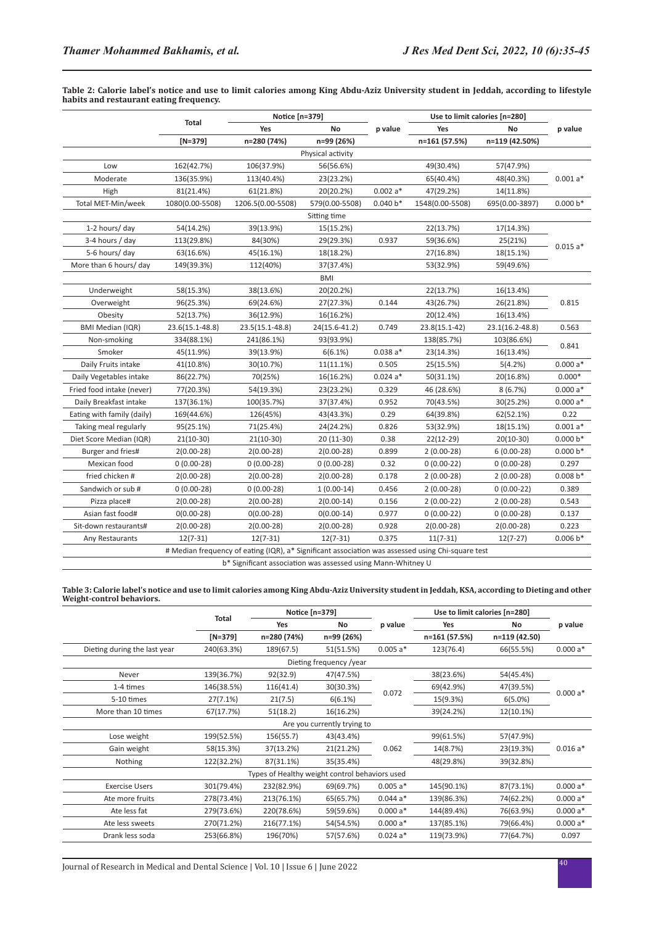**Table 2: Calorie label's notice and use to limit calories among King Abdu-Aziz University student in Jeddah, according to lifestyle habits and restaurant eating frequency.**

|                            | Total                                                                         | Notice [n=379]                                                                                    |                   |            | Use to limit calories [n=280] |                |            |  |  |
|----------------------------|-------------------------------------------------------------------------------|---------------------------------------------------------------------------------------------------|-------------------|------------|-------------------------------|----------------|------------|--|--|
|                            |                                                                               | Yes                                                                                               | No                | p value    | Yes                           | No             | p value    |  |  |
|                            | $[N=379]$                                                                     | n=280 (74%)                                                                                       | n=99 (26%)        |            | n=161 (57.5%)                 | n=119 (42.50%) |            |  |  |
|                            |                                                                               |                                                                                                   | Physical activity |            |                               |                |            |  |  |
| Low                        | 162(42.7%)                                                                    | 106(37.9%)                                                                                        | 56(56.6%)         |            | 49(30.4%)                     | 57(47.9%)      |            |  |  |
| Moderate                   | 136(35.9%)                                                                    | 113(40.4%)                                                                                        | 23(23.2%)         |            | 65(40.4%)                     | 48(40.3%)      | $0.001a*$  |  |  |
| High                       | 81(21.4%)                                                                     | 61(21.8%)                                                                                         | 20(20.2%)         | $0.002a*$  | 47(29.2%)                     | 14(11.8%)      |            |  |  |
| Total MET-Min/week         | 1080(0.00-5508)                                                               | 1206.5(0.00-5508)                                                                                 | 579(0.00-5508)    | $0.040 b*$ | 1548(0.00-5508)               | 695(0.00-3897) | $0.000 b*$ |  |  |
|                            |                                                                               |                                                                                                   | Sitting time      |            |                               |                |            |  |  |
| 1-2 hours/ day             | 54(14.2%)                                                                     | 39(13.9%)                                                                                         | 15(15.2%)         |            | 22(13.7%)                     | 17(14.3%)      |            |  |  |
| 3-4 hours / day            | 113(29.8%)                                                                    | 84(30%)                                                                                           | 29(29.3%)         | 0.937      | 59(36.6%)                     | 25(21%)        | $0.015a*$  |  |  |
| 5-6 hours/ day             | 63(16.6%)                                                                     | 45(16.1%)                                                                                         | 18(18.2%)         |            | 27(16.8%)                     | 18(15.1%)      |            |  |  |
| More than 6 hours/ day     | 149(39.3%)                                                                    | 112(40%)                                                                                          | 37(37.4%)         |            | 53(32.9%)                     | 59(49.6%)      |            |  |  |
|                            |                                                                               |                                                                                                   | <b>BMI</b>        |            |                               |                |            |  |  |
| Underweight                | 58(15.3%)                                                                     | 38(13.6%)                                                                                         | 20(20.2%)         |            | 22(13.7%)                     | 16(13.4%)      |            |  |  |
| Overweight                 | 96(25.3%)                                                                     | 69(24.6%)                                                                                         | 27(27.3%)         | 0.144      | 43(26.7%)                     | 26(21.8%)      | 0.815      |  |  |
| Obesity                    | 52(13.7%)                                                                     | 36(12.9%)                                                                                         | 16(16.2%)         |            | 20(12.4%)                     | 16(13.4%)      |            |  |  |
| <b>BMI Median (IQR)</b>    | 0.749<br>23.6(15.1-48.8)<br>23.5(15.1-48.8)<br>24(15.6-41.2)<br>23.8(15.1-42) |                                                                                                   | 23.1(16.2-48.8)   | 0.563      |                               |                |            |  |  |
| Non-smoking                | 334(88.1%)                                                                    | 241(86.1%)                                                                                        | 93(93.9%)         |            | 138(85.7%)                    | 103(86.6%)     | 0.841      |  |  |
| Smoker                     | 45(11.9%)                                                                     | 39(13.9%)                                                                                         | 6(6.1%)           | $0.038a*$  | 23(14.3%)                     | 16(13.4%)      |            |  |  |
| Daily Fruits intake        | 41(10.8%)                                                                     | 30(10.7%)                                                                                         | 11(11.1%)         | 0.505      | 25(15.5%)                     | 5(4.2%)        | $0.000a*$  |  |  |
| Daily Vegetables intake    | 86(22.7%)                                                                     | 70(25%)                                                                                           | 16(16.2%)         | $0.024a*$  | 50(31.1%)                     | 20(16.8%)      | $0.000*$   |  |  |
| Fried food intake (never)  | 77(20.3%)                                                                     | 54(19.3%)                                                                                         | 23(23.2%)         | 0.329      | 46 (28.6%)                    | 8(6.7%)        | $0.000a*$  |  |  |
| Daily Breakfast intake     | 137(36.1%)                                                                    | 100(35.7%)                                                                                        | 37(37.4%)         | 0.952      | 70(43.5%)                     | 30(25.2%)      | $0.000a*$  |  |  |
| Eating with family (daily) | 169(44.6%)                                                                    | 126(45%)                                                                                          | 43(43.3%)         | 0.29       | 64(39.8%)                     | 62(52.1%)      | 0.22       |  |  |
| Taking meal regularly      | 95(25.1%)                                                                     | 71(25.4%)                                                                                         | 24(24.2%)         | 0.826      | 53(32.9%)                     | 18(15.1%)      | $0.001a*$  |  |  |
| Diet Score Median (IQR)    | $21(10-30)$                                                                   | $21(10-30)$                                                                                       | 20 (11-30)        | 0.38       | 22(12-29)                     | $20(10-30)$    | $0.000 b*$ |  |  |
| Burger and fries#          | $2(0.00-28)$                                                                  | $2(0.00-28)$                                                                                      | $2(0.00-28)$      | 0.899      | $2(0.00-28)$                  | $6(0.00-28)$   | $0.000 b*$ |  |  |
| Mexican food               | $0(0.00-28)$                                                                  | $0(0.00-28)$                                                                                      | $0(0.00-28)$      | 0.32       | $0(0.00-22)$                  | $0(0.00-28)$   | 0.297      |  |  |
| fried chicken #            | $2(0.00-28)$                                                                  | $2(0.00-28)$                                                                                      | $2(0.00-28)$      | 0.178      | $2(0.00-28)$                  | $2(0.00-28)$   | $0.008 b*$ |  |  |
| Sandwich or sub#           | $0(0.00-28)$                                                                  | $0(0.00-28)$                                                                                      | $1(0.00-14)$      | 0.456      | $2(0.00-28)$                  | $0(0.00-22)$   | 0.389      |  |  |
| Pizza place#               | $2(0.00-28)$                                                                  | $2(0.00-28)$                                                                                      | $2(0.00-14)$      | 0.156      | $2(0.00-22)$                  | $2(0.00-28)$   | 0.543      |  |  |
| Asian fast food#           | $0(0.00-28)$                                                                  | $0(0.00-28)$                                                                                      | $0(0.00-14)$      | 0.977      | $0(0.00-22)$                  | $0(0.00-28)$   | 0.137      |  |  |
| Sit-down restaurants#      | $2(0.00-28)$                                                                  | $2(0.00-28)$                                                                                      | $2(0.00-28)$      | 0.928      | $2(0.00-28)$                  | $2(0.00-28)$   | 0.223      |  |  |
| Any Restaurants            | $12(7-31)$                                                                    | $12(7-31)$                                                                                        | $12(7-31)$        | 0.375      | $11(7-31)$                    | $12(7-27)$     | $0.006 b*$ |  |  |
|                            |                                                                               | # Median frequency of eating (IQR), a* Significant association was assessed using Chi-square test |                   |            |                               |                |            |  |  |
|                            | b* Significant association was assessed using Mann-Whitney U                  |                                                                                                   |                   |            |                               |                |            |  |  |

**Table 3: Calorie label's notice and use to limit calories among King Abdu-Aziz University student in Jeddah, KSA, according to Dieting and other Weight-control behaviors.** $\overline{a}$ 

|                              |            | Notice [n=379]                                 |                             |            | Use to limit calories [n=280] |               |           |
|------------------------------|------------|------------------------------------------------|-----------------------------|------------|-------------------------------|---------------|-----------|
|                              | Total      | Yes                                            | No                          | p value    | Yes                           | No            | p value   |
|                              | $[N=379]$  | n=280 (74%)                                    | n=99 (26%)                  |            | n=161 (57.5%)                 | n=119 (42.50) |           |
| Dieting during the last year | 240(63.3%) | 189(67.5)                                      | 51(51.5%)                   | $0.005a*$  | 123(76.4)                     | 66(55.5%)     | $0.000a*$ |
|                              |            |                                                | Dieting frequency /year     |            |                               |               |           |
| Never                        | 139(36.7%) | 92(32.9)                                       | 47(47.5%)                   |            | 38(23.6%)                     | 54(45.4%)     |           |
| 1-4 times                    | 146(38.5%) | 116(41.4)                                      | 30(30.3%)                   |            | 69(42.9%)                     | 47(39.5%)     | $0.000a*$ |
| 5-10 times                   | 27(7.1%)   | 21(7.5)                                        | 6(6.1%)                     | 0.072      | 15(9.3%)                      | $6(5.0\%)$    |           |
| More than 10 times           | 67(17.7%)  | 51(18.2)                                       | 16(16.2%)                   |            | 39(24.2%)                     | 12(10.1%)     |           |
|                              |            |                                                | Are you currently trying to |            |                               |               |           |
| Lose weight                  | 199(52.5%) | 156(55.7)                                      | 43(43.4%)                   |            | 99(61.5%)                     | 57(47.9%)     |           |
| Gain weight                  | 58(15.3%)  | 37(13.2%)                                      | 21(21.2%)                   | 0.062      | 14(8.7%)                      | 23(19.3%)     | $0.016a*$ |
| Nothing                      | 122(32.2%) | 87(31.1%)                                      | 35(35.4%)                   |            | 48(29.8%)                     | 39(32.8%)     |           |
|                              |            | Types of Healthy weight control behaviors used |                             |            |                               |               |           |
| <b>Exercise Users</b>        | 301(79.4%) | 232(82.9%)                                     | 69(69.7%)                   | $0.005a*$  | 145(90.1%)                    | 87(73.1%)     | $0.000a*$ |
| Ate more fruits              | 278(73.4%) | 213(76.1%)                                     | 65(65.7%)                   | $0.044 a*$ | 139(86.3%)                    | 74(62.2%)     | $0.000a*$ |
| Ate less fat                 | 279(73.6%) | 220(78.6%)                                     | 59(59.6%)                   | $0.000a*$  | 144(89.4%)                    | 76(63.9%)     | $0.000a*$ |
| Ate less sweets              | 270(71.2%) | 216(77.1%)                                     | 54(54.5%)                   | $0.000a*$  | 137(85.1%)                    | 79(66.4%)     | $0.000a*$ |
| Drank less soda              | 253(66.8%) | 196(70%)                                       | 57(57.6%)                   | $0.024a*$  | 119(73.9%)                    | 77(64.7%)     | 0.097     |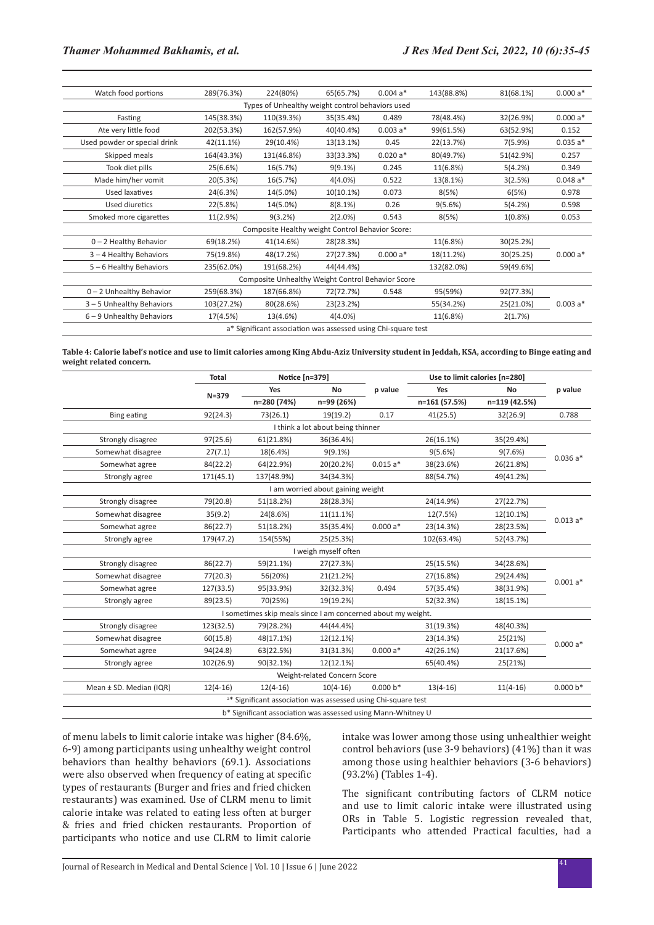| Watch food portions                                           | 289(76.3%) | 224(80%)                                         | 65(65.7%)    | $0.004a*$ | 143(88.8%) | 81(68.1%)  | $0.000a*$ |  |  |
|---------------------------------------------------------------|------------|--------------------------------------------------|--------------|-----------|------------|------------|-----------|--|--|
| Types of Unhealthy weight control behaviors used              |            |                                                  |              |           |            |            |           |  |  |
| Fasting                                                       | 145(38.3%) | 110(39.3%)                                       | 35(35.4%)    | 0.489     | 78(48.4%)  | 32(26.9%)  | $0.000a*$ |  |  |
| Ate very little food                                          | 202(53.3%) | 162(57.9%)                                       | 40(40.4%)    | $0.003a*$ | 99(61.5%)  | 63(52.9%)  | 0.152     |  |  |
| Used powder or special drink                                  | 42(11.1%)  | 29(10.4%)                                        | 13(13.1%)    | 0.45      | 22(13.7%)  | 7(5.9%)    | $0.035a*$ |  |  |
| Skipped meals                                                 | 164(43.3%) | 131(46.8%)                                       | 33(33.3%)    | $0.020a*$ | 80(49.7%)  | 51(42.9%)  | 0.257     |  |  |
| Took diet pills                                               | 25(6.6%)   | 16(5.7%)                                         | $9(9.1\%)$   | 0.245     | 11(6.8%)   | 5(4.2%)    | 0.349     |  |  |
| Made him/her vomit                                            | 20(5.3%)   | 16(5.7%)                                         | $4(4.0\%)$   | 0.522     | 13(8.1%)   | 3(2.5%)    | $0.048a*$ |  |  |
| Used laxatives                                                | 24(6.3%)   | 14(5.0%)                                         | $10(10.1\%)$ | 0.073     | 8(5%)      | 6(5%)      | 0.978     |  |  |
| Used diuretics                                                | 22(5.8%)   | 14(5.0%)                                         | 8(8.1%)      | 0.26      | 9(5.6%)    | 5(4.2%)    | 0.598     |  |  |
| Smoked more cigarettes                                        | 11(2.9%)   | 9(3.2%)                                          | $2(2.0\%)$   | 0.543     | 8(5%)      | $1(0.8\%)$ | 0.053     |  |  |
|                                                               |            | Composite Healthy weight Control Behavior Score: |              |           |            |            |           |  |  |
| 0-2 Healthy Behavior                                          | 69(18.2%)  | 41(14.6%)                                        | 28(28.3%)    |           | 11(6.8%)   | 30(25.2%)  |           |  |  |
| 3-4 Healthy Behaviors                                         | 75(19.8%)  | 48(17.2%)                                        | 27(27.3%)    | $0.000a*$ | 18(11.2%)  | 30(25.25)  | $0.000a*$ |  |  |
| 5-6 Healthy Behaviors                                         | 235(62.0%) | 191(68.2%)                                       | 44(44.4%)    |           | 132(82.0%) | 59(49.6%)  |           |  |  |
| Composite Unhealthy Weight Control Behavior Score             |            |                                                  |              |           |            |            |           |  |  |
| $0 - 2$ Unhealthy Behavior                                    | 259(68.3%) | 187(66.8%)                                       | 72(72.7%)    | 0.548     | 95(59%)    | 92(77.3%)  |           |  |  |
| 3-5 Unhealthy Behaviors                                       | 103(27.2%) | 80(28.6%)                                        | 23(23.2%)    |           | 55(34.2%)  | 25(21.0%)  | $0.003a*$ |  |  |
| $6 - 9$ Unhealthy Behaviors                                   | 17(4.5%)   | 13(4.6%)                                         | $4(4.0\%)$   |           | 11(6.8%)   | 2(1.7%)    |           |  |  |
| a* Significant association was assessed using Chi-square test |            |                                                  |              |           |            |            |           |  |  |

**Table 4: Calorie label's notice and use to limit calories among King Abdu-Aziz University student in Jeddah, KSA, according to Binge eating and weight related concern.**

|                                   | <b>Total</b>                                                 | Notice [n=379]                                                           |                                   |            | Use to limit calories [n=280] |               |            |  |  |
|-----------------------------------|--------------------------------------------------------------|--------------------------------------------------------------------------|-----------------------------------|------------|-------------------------------|---------------|------------|--|--|
|                                   |                                                              | Yes                                                                      | <b>No</b>                         | p value    | Yes                           | No            | p value    |  |  |
|                                   | $N = 379$                                                    | n=280 (74%)                                                              | n=99 (26%)                        |            | n=161 (57.5%)                 | n=119 (42.5%) |            |  |  |
| <b>Bing eating</b>                | 92(24.3)                                                     | 73(26.1)                                                                 | 19(19.2)                          | 0.17       | 41(25.5)                      | 32(26.9)      | 0.788      |  |  |
| I think a lot about being thinner |                                                              |                                                                          |                                   |            |                               |               |            |  |  |
| Strongly disagree                 | 97(25.6)                                                     | 61(21.8%)                                                                | 36(36.4%)                         |            | 26(16.1%)                     | 35(29.4%)     |            |  |  |
| Somewhat disagree                 | 27(7.1)                                                      | 18(6.4%)                                                                 | $9(9.1\%)$                        |            | 9(5.6%)                       | 9(7.6%)       | $0.036a*$  |  |  |
| Somewhat agree                    | 84(22.2)                                                     | 64(22.9%)                                                                | 20(20.2%)                         | $0.015a*$  | 38(23.6%)                     | 26(21.8%)     |            |  |  |
| Strongly agree                    | 171(45.1)                                                    | 137(48.9%)                                                               | 34(34.3%)                         |            | 88(54.7%)                     | 49(41.2%)     |            |  |  |
|                                   |                                                              |                                                                          | I am worried about gaining weight |            |                               |               |            |  |  |
| Strongly disagree                 | 79(20.8)                                                     | 51(18.2%)                                                                | 28(28.3%)                         |            | 24(14.9%)                     | 27(22.7%)     |            |  |  |
| Somewhat disagree                 | 35(9.2)                                                      | 24(8.6%)                                                                 | $11(11.1\%)$                      |            | 12(7.5%)                      | 12(10.1%)     |            |  |  |
| Somewhat agree                    | 86(22.7)                                                     | 51(18.2%)                                                                | 35(35.4%)                         | $0.000a*$  | 23(14.3%)                     | 28(23.5%)     | $0.013a*$  |  |  |
| Strongly agree                    | 179(47.2)                                                    | 154(55%)                                                                 | 25(25.3%)                         |            | 102(63.4%)                    | 52(43.7%)     |            |  |  |
|                                   |                                                              |                                                                          | I weigh myself often              |            |                               |               |            |  |  |
| Strongly disagree                 | 86(22.7)<br>34(28.6%)<br>59(21.1%)<br>27(27.3%)<br>25(15.5%) |                                                                          |                                   |            |                               |               |            |  |  |
| Somewhat disagree                 | 77(20.3)                                                     | 56(20%)                                                                  | 21(21.2%)                         |            | 27(16.8%)                     | 29(24.4%)     | $0.001a*$  |  |  |
| Somewhat agree                    | 127(33.5)                                                    | 95(33.9%)                                                                | 32(32.3%)                         | 0.494      | 57(35.4%)                     | 38(31.9%)     |            |  |  |
| Strongly agree                    | 89(23.5)                                                     | 70(25%)                                                                  | 19(19.2%)                         |            | 52(32.3%)                     | 18(15.1%)     |            |  |  |
|                                   |                                                              | I sometimes skip meals since I am concerned about my weight.             |                                   |            |                               |               |            |  |  |
| Strongly disagree                 | 123(32.5)                                                    | 79(28.2%)                                                                | 44(44.4%)                         |            | 31(19.3%)                     | 48(40.3%)     |            |  |  |
| Somewhat disagree                 | 60(15.8)                                                     | 48(17.1%)                                                                | 12(12.1%)                         |            | 23(14.3%)                     | 25(21%)       |            |  |  |
| Somewhat agree                    | 94(24.8)                                                     | 63(22.5%)                                                                | 31(31.3%)                         | $0.000a*$  | 42(26.1%)                     | 21(17.6%)     | $0.000a*$  |  |  |
| Strongly agree                    | 102(26.9)                                                    | 90(32.1%)                                                                | 12(12.1%)                         |            | 65(40.4%)                     | 25(21%)       |            |  |  |
|                                   |                                                              |                                                                          | Weight-related Concern Score      |            |                               |               |            |  |  |
| Mean ± SD. Median (IQR)           | $12(4-16)$                                                   | $12(4-16)$                                                               | $10(4-16)$                        | $0.000 b*$ | $13(4-16)$                    | $11(4-16)$    | $0.000 b*$ |  |  |
|                                   |                                                              | <sup>a*</sup> Significant association was assessed using Chi-square test |                                   |            |                               |               |            |  |  |
|                                   | b* Significant association was assessed using Mann-Whitney U |                                                                          |                                   |            |                               |               |            |  |  |

of menu labels to limit calorie intake was higher (84.6%, 6-9) among participants using unhealthy weight control behaviors than healthy behaviors (69.1). Associations were also observed when frequency of eating at specific types of restaurants (Burger and fries and fried chicken restaurants) was examined. Use of CLRM menu to limit calorie intake was related to eating less often at burger & fries and fried chicken restaurants. Proportion of participants who notice and use CLRM to limit calorie intake was lower among those using unhealthier weight control behaviors (use 3-9 behaviors) (41%) than it was among those using healthier behaviors (3-6 behaviors) (93.2%) (Tables 1-4).

The significant contributing factors of CLRM notice and use to limit caloric intake were illustrated using ORs in Table 5. Logistic regression revealed that, Participants who attended Practical faculties, had a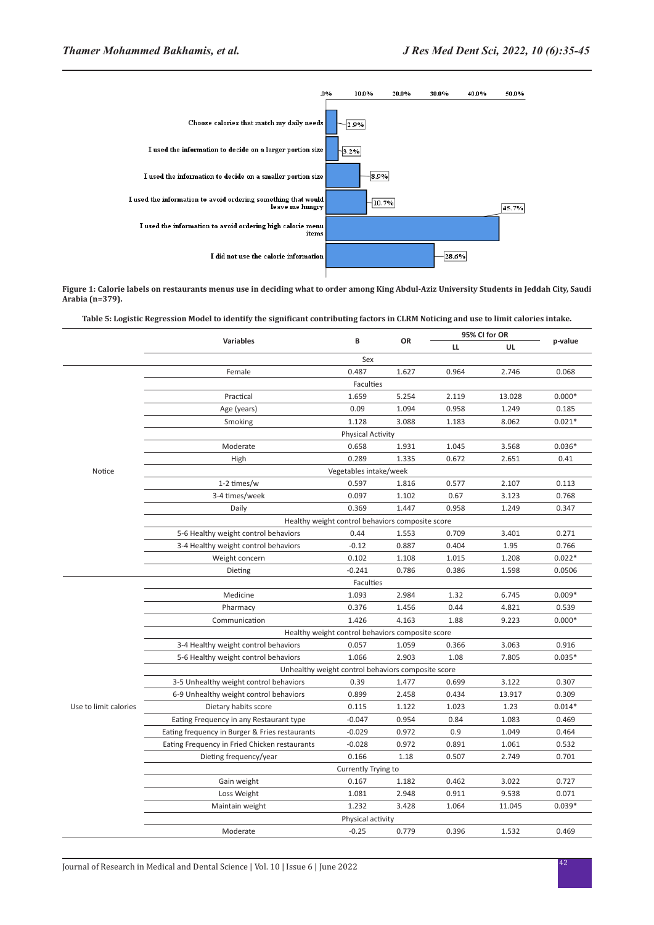

**Figure 1: Calorie labels on restaurants menus use in deciding what to order among King Abdul-Aziz University Students in Jeddah City, Saudi Arabia (n=379).**

**Table 5: Logistic Regression Model to identify the significant contributing factors in CLRM Noticing and use to limit calories intake.**

|                       | <b>Variables</b>                                   | В                                                | <b>OR</b> |       | 95% CI for OR |          |  |  |  |
|-----------------------|----------------------------------------------------|--------------------------------------------------|-----------|-------|---------------|----------|--|--|--|
|                       |                                                    |                                                  |           | LL    | UL            | p-value  |  |  |  |
|                       |                                                    | Sex                                              |           |       |               |          |  |  |  |
|                       | Female                                             | 0.487                                            | 1.627     | 0.964 | 2.746         | 0.068    |  |  |  |
|                       |                                                    | Faculties                                        |           |       |               |          |  |  |  |
|                       | Practical                                          | 1.659                                            | 5.254     | 2.119 | 13.028        | $0.000*$ |  |  |  |
|                       | Age (years)                                        | 0.09                                             | 1.094     | 0.958 | 1.249         | 0.185    |  |  |  |
|                       | Smoking                                            | 1.128                                            | 3.088     | 1.183 | 8.062         | $0.021*$ |  |  |  |
|                       |                                                    | <b>Physical Activity</b>                         |           |       |               |          |  |  |  |
|                       | Moderate                                           | 0.658                                            | 1.931     | 1.045 | 3.568         | $0.036*$ |  |  |  |
| Notice                | High                                               | 0.289                                            | 1.335     | 0.672 | 2.651         | 0.41     |  |  |  |
|                       |                                                    | Vegetables intake/week                           |           |       |               |          |  |  |  |
|                       | 1-2 times/w                                        | 0.597                                            | 1.816     | 0.577 | 2.107         | 0.113    |  |  |  |
|                       | 3-4 times/week                                     | 0.097                                            | 1.102     | 0.67  | 3.123         | 0.768    |  |  |  |
|                       | Daily                                              | 0.369                                            | 1.447     | 0.958 | 1.249         | 0.347    |  |  |  |
|                       | Healthy weight control behaviors composite score   |                                                  |           |       |               |          |  |  |  |
|                       | 5-6 Healthy weight control behaviors               | 0.44                                             | 1.553     | 0.709 | 3.401         | 0.271    |  |  |  |
|                       | 3-4 Healthy weight control behaviors               | $-0.12$                                          | 0.887     | 0.404 | 1.95          | 0.766    |  |  |  |
|                       | Weight concern                                     | 0.102                                            | 1.108     | 1.015 | 1.208         | $0.022*$ |  |  |  |
|                       | Dieting                                            | $-0.241$                                         | 0.786     | 0.386 | 1.598         | 0.0506   |  |  |  |
|                       |                                                    | Faculties                                        |           |       |               |          |  |  |  |
|                       | Medicine                                           | 1.093                                            | 2.984     | 1.32  | 6.745         | $0.009*$ |  |  |  |
|                       | Pharmacy                                           | 0.376                                            | 1.456     | 0.44  | 4.821         | 0.539    |  |  |  |
|                       | Communication                                      | 1.426                                            | 4.163     | 1.88  | 9.223         | $0.000*$ |  |  |  |
|                       |                                                    | Healthy weight control behaviors composite score |           |       |               |          |  |  |  |
|                       | 3-4 Healthy weight control behaviors               | 0.057                                            | 1.059     | 0.366 | 3.063         | 0.916    |  |  |  |
|                       | 5-6 Healthy weight control behaviors               | 1.066                                            | 2.903     | 1.08  | 7.805         | $0.035*$ |  |  |  |
|                       | Unhealthy weight control behaviors composite score |                                                  |           |       |               |          |  |  |  |
|                       | 3-5 Unhealthy weight control behaviors             | 0.39                                             | 1.477     | 0.699 | 3.122         | 0.307    |  |  |  |
|                       | 6-9 Unhealthy weight control behaviors             | 0.899                                            | 2.458     | 0.434 | 13.917        | 0.309    |  |  |  |
| Use to limit calories | Dietary habits score                               | 0.115                                            | 1.122     | 1.023 | 1.23          | $0.014*$ |  |  |  |
|                       | Eating Frequency in any Restaurant type            | $-0.047$                                         | 0.954     | 0.84  | 1.083         | 0.469    |  |  |  |
|                       | Eating frequency in Burger & Fries restaurants     | $-0.029$                                         | 0.972     | 0.9   | 1.049         | 0.464    |  |  |  |
|                       | Eating Frequency in Fried Chicken restaurants      | $-0.028$                                         | 0.972     | 0.891 | 1.061         | 0.532    |  |  |  |
|                       | Dieting frequency/year                             | 0.166                                            | 1.18      | 0.507 | 2.749         | 0.701    |  |  |  |
|                       |                                                    | Currently Trying to                              |           |       |               |          |  |  |  |
|                       | Gain weight                                        | 0.167                                            | 1.182     | 0.462 | 3.022         | 0.727    |  |  |  |
|                       | Loss Weight                                        | 1.081                                            | 2.948     | 0.911 | 9.538         | 0.071    |  |  |  |
|                       | Maintain weight                                    | 1.232                                            | 3.428     | 1.064 | 11.045        | $0.039*$ |  |  |  |
|                       |                                                    | Physical activity                                |           |       |               |          |  |  |  |
|                       | Moderate                                           | $-0.25$                                          | 0.779     | 0.396 | 1.532         | 0.469    |  |  |  |
|                       |                                                    |                                                  |           |       |               |          |  |  |  |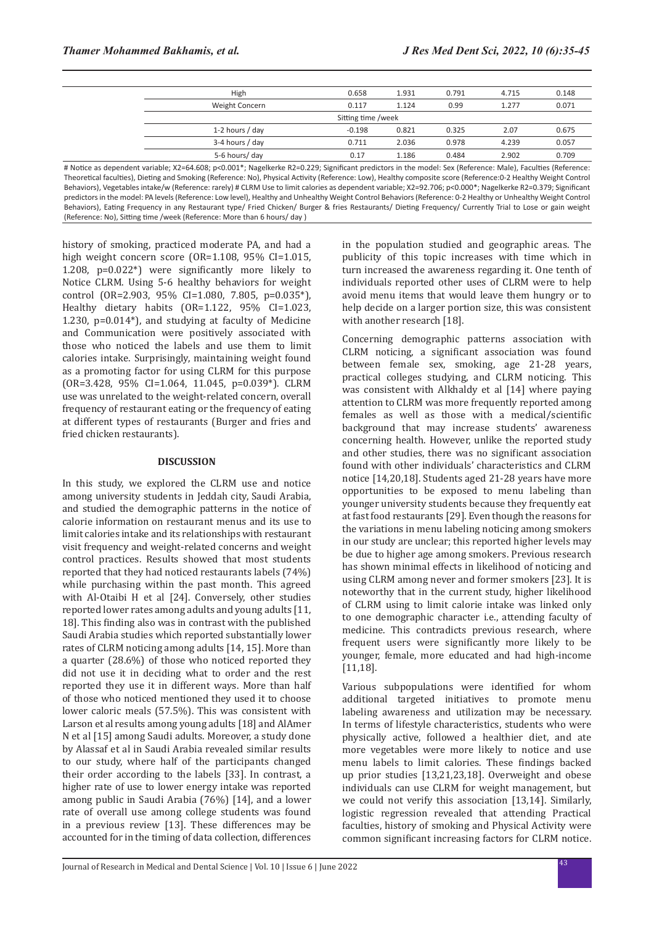|                    | High            | 0.658    | 1.931 | 0.791 | 4.715 | 0.148 |
|--------------------|-----------------|----------|-------|-------|-------|-------|
|                    | Weight Concern  | 0.117    | 1.124 | 0.99  | 1.277 | 0.071 |
| Sitting time /week |                 |          |       |       |       |       |
|                    | 1-2 hours / day | $-0.198$ | 0.821 | 0.325 | 2.07  | 0.675 |
|                    | 3-4 hours / day | 0.711    | 2.036 | 0.978 | 4.239 | 0.057 |
|                    | 5-6 hours/ day  | 0.17     | 1.186 | 0.484 | 2.902 | 0.709 |
|                    |                 |          |       |       |       |       |

# Notice as dependent variable; X2=64.608; p<0.001\*; Nagelkerke R2=0.229; Significant predictors in the model: Sex (Reference: Male), Faculties (Reference: Theoretical faculties), Dieting and Smoking (Reference: No), Physical Activity (Reference: Low), Healthy composite score (Reference:0-2 Healthy Weight Control Behaviors), Vegetables intake/w (Reference: rarely) # CLRM Use to limit calories as dependent variable; X2=92.706; p<0.000\*; Nagelkerke R2=0.379; Significant predictors in the model: PA levels (Reference: Low level), Healthy and Unhealthy Weight Control Behaviors (Reference: 0-2 Healthy or Unhealthy Weight Control Behaviors), Eating Frequency in any Restaurant type/ Fried Chicken/ Burger & fries Restaurants/ Dieting Frequency/ Currently Trial to Lose or gain weight (Reference: No), Sitting time /week (Reference: More than 6 hours/ day )

history of smoking, practiced moderate PA, and had a high weight concern score (OR=1.108, 95% CI=1.015, 1.208, p=0.022\*) were significantly more likely to Notice CLRM. Using 5-6 healthy behaviors for weight control (OR=2.903, 95% CI=1.080, 7.805, p=0.035\*), Healthy dietary habits (OR=1.122, 95% CI=1.023, 1.230, p=0.014\*), and studying at faculty of Medicine and Communication were positively associated with those who noticed the labels and use them to limit calories intake. Surprisingly, maintaining weight found as a promoting factor for using CLRM for this purpose (OR=3.428, 95% CI=1.064, 11.045, p=0.039\*). CLRM use was unrelated to the weight-related concern, overall frequency of restaurant eating or the frequency of eating at different types of restaurants (Burger and fries and fried chicken restaurants).

#### **DISCUSSION**

In this study, we explored the CLRM use and notice among university students in Jeddah city, Saudi Arabia, and studied the demographic patterns in the notice of calorie information on restaurant menus and its use to limit calories intake and its relationships with restaurant visit frequency and weight-related concerns and weight control practices. Results showed that most students reported that they had noticed restaurants labels (74%) while purchasing within the past month. This agreed with Al-Otaibi H et al [24]. Conversely, other studies reported lower rates among adults and young adults [11, 18]. This finding also was in contrast with the published Saudi Arabia studies which reported substantially lower rates of CLRM noticing among adults [14, 15]. More than a quarter (28.6%) of those who noticed reported they did not use it in deciding what to order and the rest reported they use it in different ways. More than half of those who noticed mentioned they used it to choose lower caloric meals (57.5%). This was consistent with Larson et al results among young adults [18] and AlAmer N et al [15] among Saudi adults. Moreover, a study done by Alassaf et al in Saudi Arabia revealed similar results to our study, where half of the participants changed their order according to the labels [33]. In contrast, a higher rate of use to lower energy intake was reported among public in Saudi Arabia (76%) [14], and a lower rate of overall use among college students was found in a previous review [13]. These differences may be accounted for in the timing of data collection, differences

in the population studied and geographic areas. The publicity of this topic increases with time which in turn increased the awareness regarding it. One tenth of individuals reported other uses of CLRM were to help avoid menu items that would leave them hungry or to help decide on a larger portion size, this was consistent with another research [18].

Concerning demographic patterns association with CLRM noticing, a significant association was found between female sex, smoking, age 21-28 years, practical colleges studying, and CLRM noticing. This was consistent with Alkhaldy et al [14] where paying attention to CLRM was more frequently reported among females as well as those with a medical/scientific background that may increase students' awareness concerning health. However, unlike the reported study and other studies, there was no significant association found with other individuals' characteristics and CLRM notice [14,20,18]. Students aged 21-28 years have more opportunities to be exposed to menu labeling than younger university students because they frequently eat at fast food restaurants [29]. Even though the reasons for the variations in menu labeling noticing among smokers in our study are unclear; this reported higher levels may be due to higher age among smokers. Previous research has shown minimal effects in likelihood of noticing and using CLRM among never and former smokers [23]. It is noteworthy that in the current study, higher likelihood of CLRM using to limit calorie intake was linked only to one demographic character i.e., attending faculty of medicine. This contradicts previous research, where frequent users were significantly more likely to be younger, female, more educated and had high-income [11,18].

Various subpopulations were identified for whom additional targeted initiatives to promote menu labeling awareness and utilization may be necessary. In terms of lifestyle characteristics, students who were physically active, followed a healthier diet, and ate more vegetables were more likely to notice and use menu labels to limit calories. These findings backed up prior studies [13,21,23,18]. Overweight and obese individuals can use CLRM for weight management, but we could not verify this association [13,14]. Similarly, logistic regression revealed that attending Practical faculties, history of smoking and Physical Activity were common significant increasing factors for CLRM notice.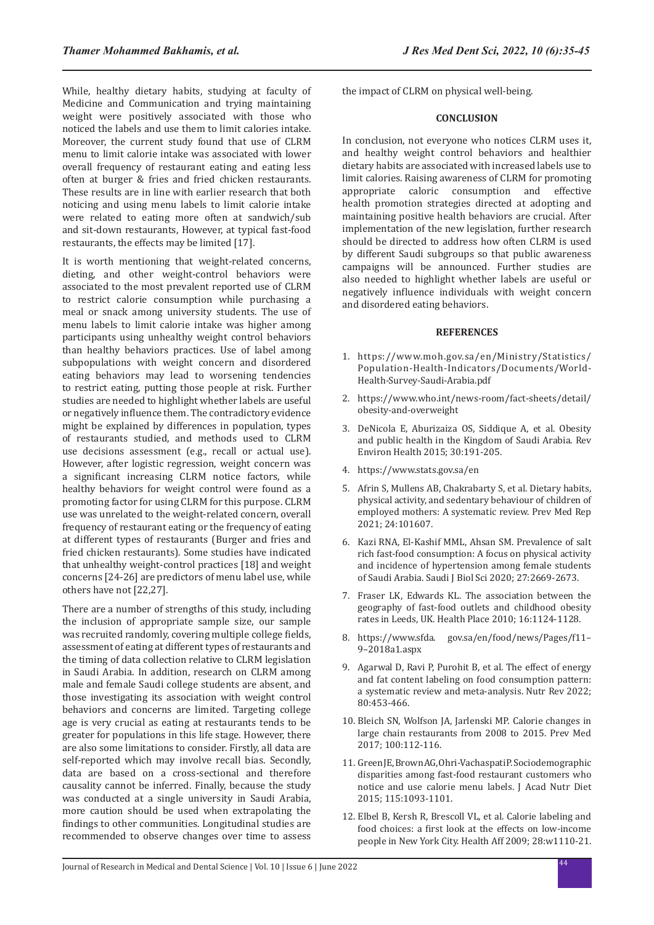While, healthy dietary habits, studying at faculty of Medicine and Communication and trying maintaining weight were positively associated with those who noticed the labels and use them to limit calories intake. Moreover, the current study found that use of CLRM menu to limit calorie intake was associated with lower overall frequency of restaurant eating and eating less often at burger & fries and fried chicken restaurants. These results are in line with earlier research that both noticing and using menu labels to limit calorie intake were related to eating more often at sandwich/sub and sit-down restaurants, However, at typical fast-food restaurants, the effects may be limited [17].

It is worth mentioning that weight-related concerns, dieting, and other weight-control behaviors were associated to the most prevalent reported use of CLRM to restrict calorie consumption while purchasing a meal or snack among university students. The use of menu labels to limit calorie intake was higher among participants using unhealthy weight control behaviors than healthy behaviors practices. Use of label among subpopulations with weight concern and disordered eating behaviors may lead to worsening tendencies to restrict eating, putting those people at risk. Further studies are needed to highlight whether labels are useful or negatively influence them. The contradictory evidence might be explained by differences in population, types of restaurants studied, and methods used to CLRM use decisions assessment (e.g., recall or actual use). However, after logistic regression, weight concern was a significant increasing CLRM notice factors, while healthy behaviors for weight control were found as a promoting factor for using CLRM for this purpose. CLRM use was unrelated to the weight-related concern, overall frequency of restaurant eating or the frequency of eating at different types of restaurants (Burger and fries and fried chicken restaurants). Some studies have indicated that unhealthy weight-control practices [18] and weight concerns [24-26] are predictors of menu label use, while others have not [22,27].

There are a number of strengths of this study, including the inclusion of appropriate sample size, our sample was recruited randomly, covering multiple college fields, assessment of eating at different types of restaurants and the timing of data collection relative to CLRM legislation in Saudi Arabia. In addition, research on CLRM among male and female Saudi college students are absent, and those investigating its association with weight control behaviors and concerns are limited. Targeting college age is very crucial as eating at restaurants tends to be greater for populations in this life stage. However, there are also some limitations to consider. Firstly, all data are self-reported which may involve recall bias. Secondly, data are based on a cross-sectional and therefore causality cannot be inferred. Finally, because the study was conducted at a single university in Saudi Arabia, more caution should be used when extrapolating the findings to other communities. Longitudinal studies are recommended to observe changes over time to assess the impact of CLRM on physical well-being.

#### **CONCLUSION**

In conclusion, not everyone who notices CLRM uses it, and healthy weight control behaviors and healthier dietary habits are associated with increased labels use to limit calories. Raising awareness of CLRM for promoting appropriate caloric consumption and effective health promotion strategies directed at adopting and maintaining positive health behaviors are crucial. After implementation of the new legislation, further research should be directed to address how often CLRM is used by different Saudi subgroups so that public awareness campaigns will be announced. Further studies are also needed to highlight whether labels are useful or negatively influence individuals with weight concern and disordered eating behaviors.

#### **REFERENCES**

- 1. https://www.moh.gov.sa/en/Ministry/Statistics/ Population-Health-Indicators/Documents/World-Health-Survey-Saudi-Arabia.pdf
- 2. https://www.who.int/news-room/fact-sheets/detail/ obesity-and-overweight
- 3. DeNicola E, Aburizaiza OS, Siddique A, et al. [Obesity](https://www.degruyter.com/document/doi/10.1515/reveh-2015-0008/html)  [and public health in the Kingdom of Saudi Arabia.](https://www.degruyter.com/document/doi/10.1515/reveh-2015-0008/html) Rev Environ Health 2015; 30:191-205.
- 4. https://www.stats.gov.sa/en
- 5. Afrin S, Mullens AB, Chakrabarty S, et al. [Dietary habits,](https://www.sciencedirect.com/science/article/pii/S2211335521002977)  [physical activity, and sedentary behaviour of children of](https://www.sciencedirect.com/science/article/pii/S2211335521002977)  [employed mothers: A systematic review](https://www.sciencedirect.com/science/article/pii/S2211335521002977). Prev Med Rep 2021; 24:101607.
- 6. Kazi RNA, El-Kashif MML, Ahsan SM. [Prevalence of salt](https://www.sciencedirect.com/science/article/pii/S1319562X20302412)  [rich fast-food consumption: A focus on physical activity](https://www.sciencedirect.com/science/article/pii/S1319562X20302412)  [and incidence of hypertension among female students](https://www.sciencedirect.com/science/article/pii/S1319562X20302412)  [of Saudi Arabia](https://www.sciencedirect.com/science/article/pii/S1319562X20302412). Saudi J Biol Sci 2020; 27:2669-2673.
- 7. Fraser LK, Edwards KL. [The association between the](https://www.sciencedirect.com/science/article/abs/pii/S1353829210000948)  [geography of fast-food outlets and childhood obesity](https://www.sciencedirect.com/science/article/abs/pii/S1353829210000948)  [rates in Leeds, UK](https://www.sciencedirect.com/science/article/abs/pii/S1353829210000948). Health Place 2010; 16:1124-1128.
- 8. https://www.sfda. gov.sa/en/food/news/Pages/f11– 9–2018a1.aspx
- 9. Agarwal D, Ravi P, Purohit B, et al. [The effect of energy](https://academic.oup.com/nutritionreviews/article-abstract/80/3/453/6335868)  [and fat content labeling on food consumption pattern:](https://academic.oup.com/nutritionreviews/article-abstract/80/3/453/6335868)  [a systematic review and meta-analysis.](https://academic.oup.com/nutritionreviews/article-abstract/80/3/453/6335868) Nutr Rev 2022; 80:453-466.
- 10. Bleich SN, Wolfson JA, Jarlenski MP. [Calorie changes in](https://www.sciencedirect.com/science/article/abs/pii/S009174351730124X)  [large chain restaurants from 2008 to 2015.](https://www.sciencedirect.com/science/article/abs/pii/S009174351730124X) Prev Med 2017; 100:112-116.
- 11. Green JE, Brown AG, Ohri-Vachaspati P. [Sociodemographic](https://www.sciencedirect.com/science/article/abs/pii/S2212267214018127)  [disparities among fast-food restaurant customers who](https://www.sciencedirect.com/science/article/abs/pii/S2212267214018127)  [notice and use calorie menu labels](https://www.sciencedirect.com/science/article/abs/pii/S2212267214018127). J Acad Nutr Diet 2015; 115:1093-1101.
- 12. Elbel B, Kersh R, Brescoll VL, et al. [Calorie labeling and](https://www.healthaffairs.org/doi/abs/10.1377/hlthaff.28.6.w1110)  [food choices: a first look at the effects on low-income](https://www.healthaffairs.org/doi/abs/10.1377/hlthaff.28.6.w1110)  [people in New York City](https://www.healthaffairs.org/doi/abs/10.1377/hlthaff.28.6.w1110). Health Aff 2009; 28:w1110-21.